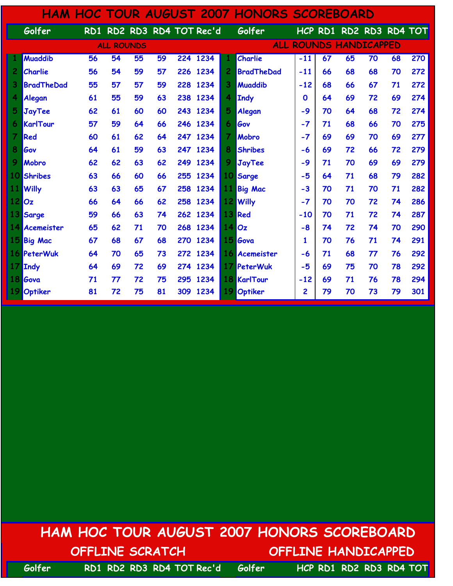|                |                   |    |                   |    |    |     |                           |    | <b>HAM HOC TOUR AUGUST 2007 HONORS SCOREBOARD</b> |             |    |                           |    |    |     |
|----------------|-------------------|----|-------------------|----|----|-----|---------------------------|----|---------------------------------------------------|-------------|----|---------------------------|----|----|-----|
|                | Golfer            |    |                   |    |    |     | RD1 RD2 RD3 RD4 TOT Rec'd |    | Golfer                                            |             |    | HCP RD1 RD2 RD3 RD4 TOT   |    |    |     |
|                |                   |    | <b>ALL ROUNDS</b> |    |    |     |                           |    | <b>ALL</b>                                        |             |    | <b>ROUNDS HANDICAPPED</b> |    |    |     |
|                | <b>Muaddib</b>    | 56 | 54                | 55 | 59 |     | 224 1234                  |    | <b>Charlie</b>                                    | $-11$       | 67 | 65                        | 70 | 68 | 270 |
| 2              | Charlie           | 56 | 54                | 59 | 57 |     | 226 1234                  | 2  | <b>BradTheDad</b>                                 | $-11$       | 66 | 68                        | 68 | 70 | 272 |
| 3              | <b>BradTheDad</b> | 55 | 57                | 57 | 59 |     | 228 1234                  | 3  | <b>Muaddib</b>                                    | $-12$       | 68 | 66                        | 67 | 71 | 272 |
| 4              | Alegan            | 61 | 55                | 59 | 63 | 238 | 1234                      | 4  | Indy                                              | $\mathbf 0$ | 64 | 69                        | 72 | 69 | 274 |
| 5              | <b>JayTee</b>     | 62 | 61                | 60 | 60 | 243 | 1234                      | 5  | Alegan                                            | $-9$        | 70 | 64                        | 68 | 72 | 274 |
| 6              | KarlTour          | 57 | 59                | 64 | 66 |     | 246 1234                  | 6  | Gov                                               | $-7$        | 71 | 68                        | 66 | 70 | 275 |
| $\overline{7}$ | Red               | 60 | 61                | 62 | 64 |     | 247 1234                  | 7  | Mobro                                             | $-7$        | 69 | 69                        | 70 | 69 | 277 |
| 8              | Gov               | 64 | 61                | 59 | 63 |     | 247 1234                  | 8  | <b>Shribes</b>                                    | -6          | 69 | 72                        | 66 | 72 | 279 |
| 9              | Mobro             | 62 | 62                | 63 | 62 | 249 | 1234                      | 9  | JayTee                                            | $-9$        | 71 | 70                        | 69 | 69 | 279 |
| 10             | <b>Shribes</b>    | 63 | 66                | 60 | 66 | 255 | 1234                      | 10 | Sarge                                             | $-5$        | 64 | 71                        | 68 | 79 | 282 |
|                | 11 Willy          | 63 | 63                | 65 | 67 |     | 258 1234                  | 11 | <b>Big Mac</b>                                    | $-3$        | 70 | 71                        | 70 | 71 | 282 |
| $12$ $Oz$      |                   | 66 | 64                | 66 | 62 |     | 258 1234                  |    | 12 Willy                                          | $-7$        | 70 | 70                        | 72 | 74 | 286 |
|                | 13 Sarge          | 59 | 66                | 63 | 74 | 262 | 1234                      |    | 13 Red                                            | $-10$       | 70 | 71                        | 72 | 74 | 287 |
|                | 14 Acemeister     | 65 | 62                | 71 | 70 |     | 268 1234                  |    | 140z                                              | $-8$        | 74 | 72                        | 74 | 70 | 290 |
|                | 15 Big Mac        | 67 | 68                | 67 | 68 | 270 | 1234                      |    | 15 Gova                                           | 1           | 70 | 76                        | 71 | 74 | 291 |
|                | 16 PeterWuk       | 64 | 70                | 65 | 73 |     | 272 1234                  |    | 16 Acemeister                                     | -6          | 71 | 68                        | 77 | 76 | 292 |
|                | 17 Indy           | 64 | 69                | 72 | 69 | 274 | 1234                      | 17 | PeterWuk                                          | $-5$        | 69 | 75                        | 70 | 78 | 292 |
|                | 18 Gova           | 71 | 77                | 72 | 75 | 295 | 1234                      |    | <b>18 KarlTour</b>                                | $-12$       | 69 | 71                        | 76 | 78 | 294 |
|                | Optiker           | 81 | 72                | 75 | 81 | 309 | 1234                      |    | Optiker                                           | 2           | 79 | 70                        | 73 | 79 | 301 |

## HAM HOC TOUR AUGUST 2007 HONORS SCOREBOARD OFFLINE SCRATCH OFFLINE HANDICAPPED

Golfer RD1 RD2 RD3 RD4 TOT Rec'd Golfer HCP RD1 RD2 RD3 RD4 TOT